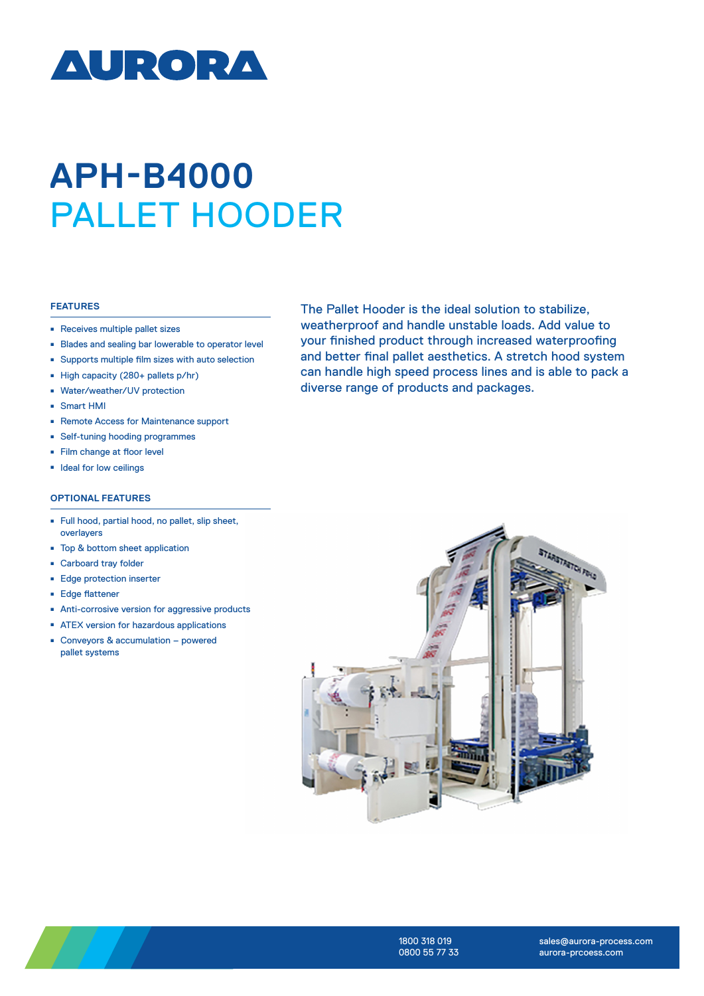

## **APH-B4000**  PALLET HOODER

## **FEATURES**

- Receives multiple pallet sizes
- Blades and sealing bar lowerable to operator level
- <sup>ȫ</sup> Supports multiple film sizes with auto selection
- High capacity (280+ pallets p/hr)
- <sup>ȫ</sup> Water/weather/UV protection
- <sup>ȫ</sup> Smart HMI
- Remote Access for Maintenance support
- Self-tuning hooding programmes
- Film change at floor level
- <sup>ȫ</sup> Ideal for low ceilings

## **OPTIONAL FEATURES**

- <sup>ȫ</sup> Full hood, partial hood, no pallet, slip sheet, overlayers
- Top & bottom sheet application
- Carboard tray folder
- Edge protection inserter
- Edge flattener
- Anti-corrosive version for aggressive products
- **EX version for hazardous applications**
- Conveyors & accumulation powered pallet systems

The Pallet Hooder is the ideal solution to stabilize, weatherproof and handle unstable loads. Add value to your finished product through increased waterproofing and better final pallet aesthetics. A stretch hood system can handle high speed process lines and is able to pack a diverse range of products and packages.





1800 318 019 0800 55 77 33

sales@aurora-process.com aurora-prcoess.com